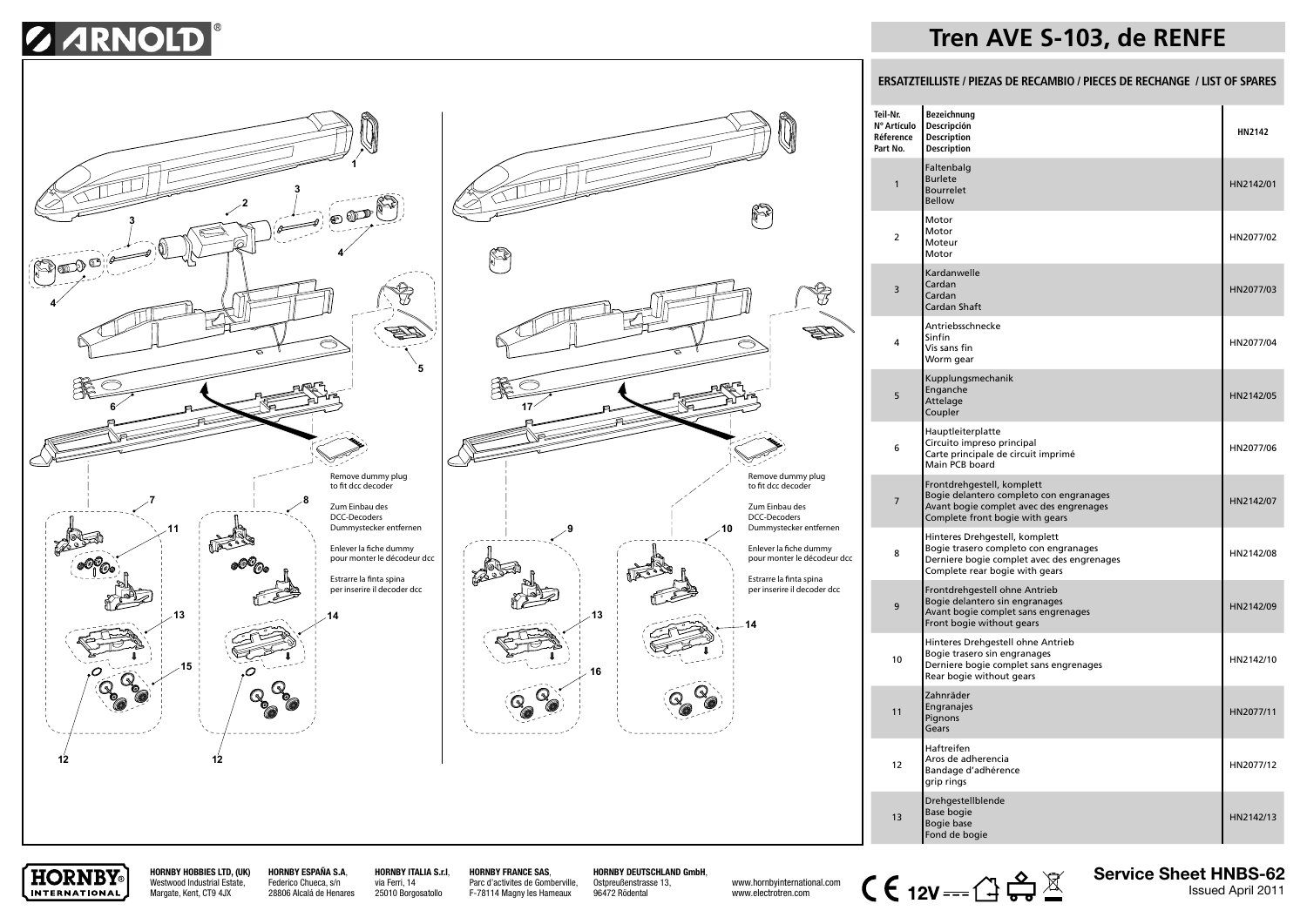# **S ARNOLD**





## **Tren AVE S-103, de RENFE**

### **ERSATZTEILLISTE / PIEZAS DE RECAMBIO / PIECES DE RECHANGE / LIST OF SPARES**

| Teil-Nr.<br>Nº Artículo<br>Réference<br>Part No. | Bezeichnung<br>Descripción<br><b>Description</b><br><b>Description</b>                                                                                  | HN2142    |
|--------------------------------------------------|---------------------------------------------------------------------------------------------------------------------------------------------------------|-----------|
| $\mathbf{1}$                                     | Faltenbalg<br><b>Burlete</b><br><b>Bourrelet</b><br><b>Bellow</b>                                                                                       | HN2142/01 |
| $\overline{2}$                                   | Motor<br>Motor<br>Moteur<br>Motor                                                                                                                       | HN2077/02 |
| 3                                                | Kardanwelle<br>Cardan<br>Cardan<br>Cardan Shaft                                                                                                         | HN2077/03 |
| 4                                                | Antriebsschnecke<br>Sinfín<br>Vis sans fin<br>Worm gear                                                                                                 | HN2077/04 |
| 5                                                | Kupplungsmechanik<br>Enganche<br>Attelage<br>Coupler                                                                                                    | HN2142/05 |
| 6                                                | Hauptleiterplatte<br>Circuito impreso principal<br>Carte principale de circuit imprimé<br>Main PCB board                                                | HN2077/06 |
| $\overline{7}$                                   | Frontdrehgestell, komplett<br>Bogie delantero completo con engranages<br>Avant bogie complet avec des engrenages<br>Complete front bogie with gears     | HN2142/07 |
| 8                                                | Hinteres Drehgestell, komplett<br>Bogie trasero completo con engranages<br>Derniere bogie complet avec des engrenages<br>Complete rear bogie with gears | HN2142/08 |
| 9                                                | Frontdrehgestell ohne Antrieb<br>Bogie delantero sin engranages<br>Avant bogie complet sans engrenages<br>Front bogie without gears                     | HN2142/09 |
| 10                                               | Hinteres Drehgestell ohne Antrieb<br>Bogie trasero sin engranages<br>Derniere bogie complet sans engrenages<br>Rear bogie without gears                 | HN2142/10 |
| 11                                               | Zahnräder<br>Engranajes<br>Pignons<br>Gears                                                                                                             | HN2077/11 |
| 12                                               | Haftreifen<br>Aros de adherencia<br>Bandage d'adhérence<br>grip rings                                                                                   | HN2077/12 |
| 13                                               | Drehgestellblende<br><b>Base bogie</b><br>Bogie base<br>Fond de bogie                                                                                   | HN2142/13 |



**HORNBY HOBBIES LTD, (UK)** Westwood Industrial Estate, Margate, Kent, CT9 4JX

**HORNBY ESPAÑA S.A**, Federico Chueca, s/n 28806 Alcalá de Henares **HORNBY ITALIA S.r.l**, via Ferri, 14 25010 Borgosatollo

**HORNBY FRANCE SAS**, Parc d'activites de Gomberville, F-78114 Magny les Hameaux

**HORNBY DEUTSCHLAND GmbH**, Ostpreußenstrasse 13,

96472 Rödental

www.electrotren.com



**Service Sheet HNBS-62**<br>**Issued April 2011**